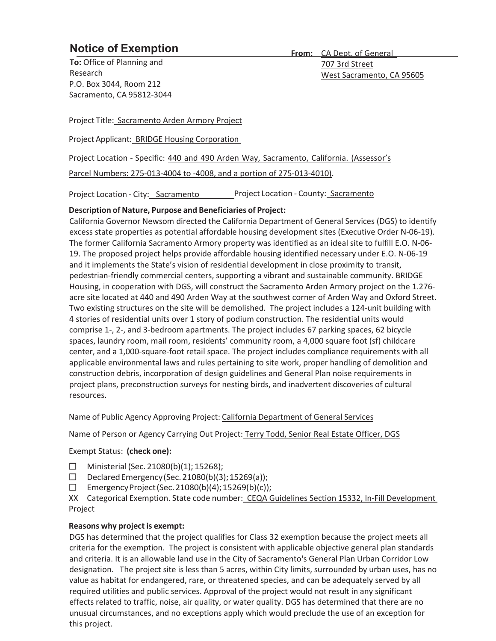## **Notice of Exemption**

**To:** Office of Planning and Research P.O. Box 3044, Room 212 Sacramento, CA 95812-3044 **From:** CA Dept. of General 707 3rd Street West Sacramento, CA 95605

Project Title: Sacramento Arden Armory Project

Project Applicant: BRIDGE Housing Corporation

Project Location - Specific: 440 and 490 Arden Way, Sacramento, California. (Assessor's

Parcel Numbers: 275-013-4004 to -4008, and a portion of 275-013-4010).

Project Location - City: Sacramento Project Location - County: Sacramento

## **Description of Nature, Purpose and Beneficiaries of Project:**

California Governor Newsom directed the California Department of General Services (DGS) to identify excess state properties as potential affordable housing development sites (Executive Order N-06-19). The former California Sacramento Armory property was identified as an ideal site to fulfill E.O. N-06- 19. The proposed project helps provide affordable housing identified necessary under E.O. N-06-19 and it implements the State's vision of residential development in close proximity to transit, pedestrian-friendly commercial centers, supporting a vibrant and sustainable community. BRIDGE Housing, in cooperation with DGS, will construct the Sacramento Arden Armory project on the 1.276 acre site located at 440 and 490 Arden Way at the southwest corner of Arden Way and Oxford Street. Two existing structures on the site will be demolished. The project includes a 124-unit building with 4 stories of residential units over 1 story of podium construction. The residential units would comprise 1-, 2-, and 3-bedroom apartments. The project includes 67 parking spaces, 62 bicycle spaces, laundry room, mail room, residents' community room, a 4,000 square foot (sf) childcare center, and a 1,000-square-foot retail space. The project includes compliance requirements with all applicable environmental laws and rules pertaining to site work, proper handling of demolition and construction debris, incorporation of design guidelines and General Plan noise requirements in project plans, preconstruction surveys for nesting birds, and inadvertent discoveries of cultural resources.

Name of Public Agency Approving Project: California Department of General Services

Name of Person or Agency Carrying Out Project: Terry Todd, Senior Real Estate Officer, DGS

Exempt Status: **(check one):** 

- $\Box$  Ministerial (Sec. 21080(b)(1); 15268);
- Declared Emergency (Sec. 21080(b)(3); 15269(a));
- $\Box$  Emergency Project (Sec. 21080(b)(4); 15269(b)(c));

XX Categorical Exemption. State code number: CEQA Guidelines Section 15332, In-Fill Development Project

## **Reasons why project is exempt:**

DGS has determined that the project qualifies for Class 32 exemption because the project meets all criteria for the exemption. The project is consistent with applicable objective general plan standards and criteria. It is an allowable land use in the City of Sacramento's General Plan Urban Corridor Low designation. The project site is less than 5 acres, within City limits, surrounded by urban uses, has no value as habitat for endangered, rare, or threatened species, and can be adequately served by all required utilities and public services. Approval of the project would not result in any significant effects related to traffic, noise, air quality, or water quality. DGS has determined that there are no unusual circumstances, and no exceptions apply which would preclude the use of an exception for this project.